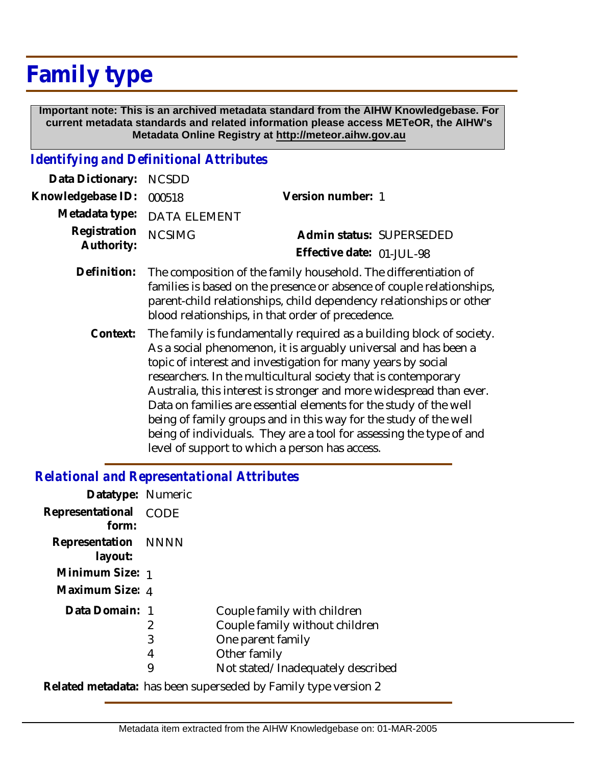## **Family type**

 **Important note: This is an archived metadata standard from the AIHW Knowledgebase. For current metadata standards and related information please access METeOR, the AIHW's Metadata Online Registry at http://meteor.aihw.gov.au**

## *Identifying and Definitional Attributes*

| Data Dictionary:           | <b>NCSDD</b>                                                                                                                                                                                                                                                         |                           |  |
|----------------------------|----------------------------------------------------------------------------------------------------------------------------------------------------------------------------------------------------------------------------------------------------------------------|---------------------------|--|
| Knowledgebase ID:          | 000518                                                                                                                                                                                                                                                               | Version number: 1         |  |
| Metadata type:             | <b>DATA ELEMENT</b>                                                                                                                                                                                                                                                  |                           |  |
| Registration<br>Authority: | <b>NCSIMG</b>                                                                                                                                                                                                                                                        | Admin status: SUPERSEDED  |  |
|                            |                                                                                                                                                                                                                                                                      | Effective date: 01-JUL-98 |  |
| Definition:                | The composition of the family household. The differentiation of<br>families is based on the presence or absence of couple relationships,<br>parent-child relationships, child dependency relationships or other<br>blood relationships, in that order of precedence. |                           |  |
| Context:                   | The family is fundamentally required as a building block of society.<br>As a social phenomenon, it is arguably universal and has been a<br>topic of interest and investigation for many years by social                                                              |                           |  |

researchers. In the multicultural society that is contemporary Australia, this interest is stronger and more widespread than ever. Data on families are essential elements for the study of the well being of family groups and in this way for the study of the well being of individuals. They are a tool for assessing the type of and level of support to which a person has access.

## *Relational and Representational Attributes*

| Datatype: Numeric                                              |             |                                   |  |
|----------------------------------------------------------------|-------------|-----------------------------------|--|
| Representational                                               | <b>CODE</b> |                                   |  |
| form:                                                          |             |                                   |  |
| Representation NNNN                                            |             |                                   |  |
| layout:                                                        |             |                                   |  |
| Minimum Size: 1                                                |             |                                   |  |
| Maximum Size: 4                                                |             |                                   |  |
| Data Domain: 1                                                 |             | Couple family with children       |  |
|                                                                | 2           | Couple family without children    |  |
|                                                                | 3           | One parent family                 |  |
|                                                                | 4           | Other family                      |  |
|                                                                | 9           | Not stated/Inadequately described |  |
| Related metadata: has been superseded by Family type version 2 |             |                                   |  |